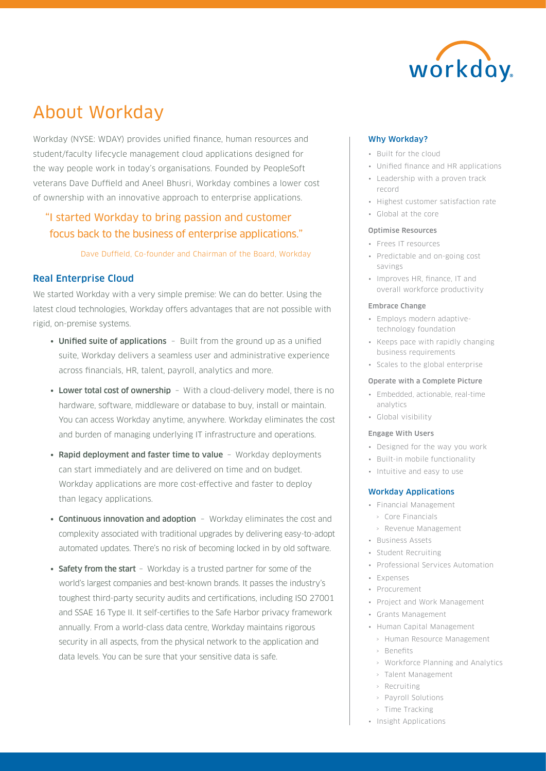

# About Workday

Workday (NYSE: WDAY) provides unified finance, human resources and student/faculty lifecycle management cloud applications designed for the way people work in today's organisations. Founded by PeopleSoft veterans Dave Duffield and Aneel Bhusri, Workday combines a lower cost of ownership with an innovative approach to enterprise applications.

# "I started Workday to bring passion and customer focus back to the business of enterprise applications."

Dave Duffield, Co-founder and Chairman of the Board, Workday

# Real Enterprise Cloud

We started Workday with a very simple premise: We can do better. Using the latest cloud technologies, Workday offers advantages that are not possible with rigid, on-premise systems.

- Unified suite of applications Built from the ground up as a unified suite, Workday delivers a seamless user and administrative experience across financials, HR, talent, payroll, analytics and more.
- Lower total cost of ownership With a cloud-delivery model, there is no hardware, software, middleware or database to buy, install or maintain. You can access Workday anytime, anywhere. Workday eliminates the cost and burden of managing underlying IT infrastructure and operations.
- Rapid deployment and faster time to value Workday deployments can start immediately and are delivered on time and on budget. Workday applications are more cost-effective and faster to deploy than legacy applications.
- Continuous innovation and adoption Workday eliminates the cost and complexity associated with traditional upgrades by delivering easy-to-adopt automated updates. There's no risk of becoming locked in by old software.
- Safety from the start Workday is a trusted partner for some of the world's largest companies and best-known brands. It passes the industry's toughest third-party security audits and certifications, including ISO 27001 and SSAE 16 Type II. It self-certifies to the Safe Harbor privacy framework annually. From a world-class data centre, Workday maintains rigorous security in all aspects, from the physical network to the application and data levels. You can be sure that your sensitive data is safe.

#### Why Workday?

- Built for the cloud
- Unified finance and HR applications
- Leadership with a proven track record
- Highest customer satisfaction rate
- Global at the core

#### Optimise Resources

- Frees IT resources
- Predictable and on-going cost savings
- Improves HR, finance, IT and overall workforce productivity

#### Embrace Change

- Employs modern adaptivetechnology foundation
- Keeps pace with rapidly changing business requirements
- Scales to the global enterprise

#### Operate with a Complete Picture

- Embedded, actionable, real-time analytics
- Global visibility

#### Engage With Users

- Designed for the way you work
- Built-in mobile functionality
- Intuitive and easy to use

#### Workday Applications

- Financial Management
	- › Core Financials
	- › Revenue Management
- Business Assets
	- Student Recruiting
	- Professional Services Automation
	- Expenses
	- Procurement
	- Project and Work Management
	- Grants Management
- Human Capital Management
	- › Human Resource Management
	- › Benefits
	- › Workforce Planning and Analytics
	- › Talent Management
- › Recruiting
- › Payroll Solutions
- › Time Tracking
- Insight Applications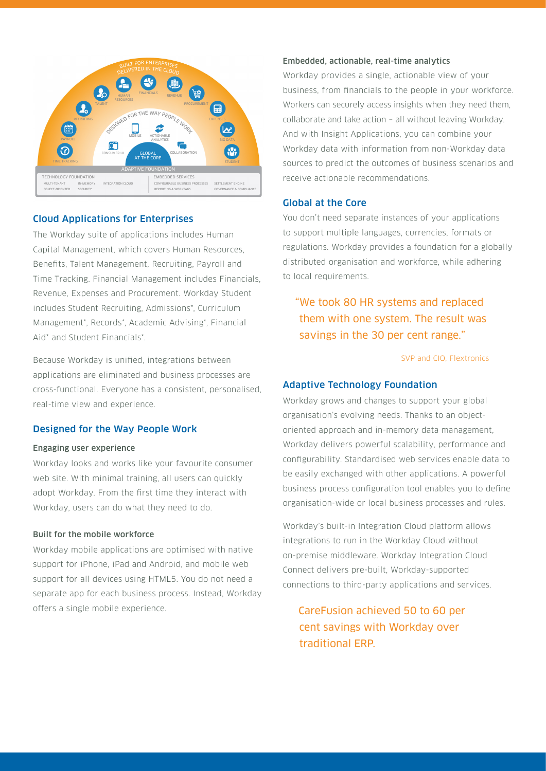

# Cloud Applications for Enterprises

The Workday suite of applications includes Human Capital Management, which covers Human Resources, Benefits, Talent Management, Recruiting, Payroll and Time Tracking. Financial Management includes Financials, Revenue, Expenses and Procurement. Workday Student includes Student Recruiting, Admissions\*, Curriculum Management\*, Records\*, Academic Advising\*, Financial Aid\* and Student Financials\*.

Because Workday is unified, integrations between applications are eliminated and business processes are cross-functional. Everyone has a consistent, personalised, real-time view and experience.

## Designed for the Way People Work

#### Engaging user experience

Workday looks and works like your favourite consumer web site. With minimal training, all users can quickly adopt Workday. From the first time they interact with Workday, users can do what they need to do.

## Built for the mobile workforce

Workday mobile applications are optimised with native support for iPhone, iPad and Android, and mobile web support for all devices using HTML5. You do not need a separate app for each business process. Instead, Workday offers a single mobile experience.

#### Embedded, actionable, real-time analytics

Workday provides a single, actionable view of your business, from financials to the people in your workforce. Workers can securely access insights when they need them, collaborate and take action – all without leaving Workday. And with Insight Applications, you can combine your Workday data with information from non-Workday data sources to predict the outcomes of business scenarios and receive actionable recommendations.

#### Global at the Core

You don't need separate instances of your applications to support multiple languages, currencies, formats or regulations. Workday provides a foundation for a globally distributed organisation and workforce, while adhering to local requirements.

# "We took 80 HR systems and replaced them with one system. The result was savings in the 30 per cent range."

#### SVP and CIO, Flextronics

#### Adaptive Technology Foundation

Workday grows and changes to support your global organisation's evolving needs. Thanks to an objectoriented approach and in-memory data management, Workday delivers powerful scalability, performance and configurability. Standardised web services enable data to be easily exchanged with other applications. A powerful business process configuration tool enables you to define organisation-wide or local business processes and rules.

Workday's built-in Integration Cloud platform allows integrations to run in the Workday Cloud without on-premise middleware. Workday Integration Cloud Connect delivers pre-built, Workday-supported connections to third-party applications and services.

 CareFusion achieved 50 to 60 per cent savings with Workday over traditional ERP.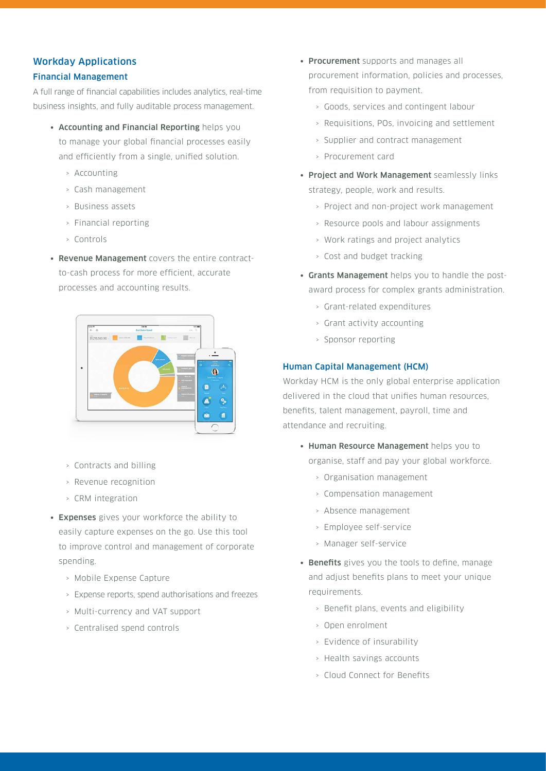# Workday Applications

#### Financial Management

A full range of financial capabilities includes analytics, real-time business insights, and fully auditable process management.

- Accounting and Financial Reporting helps you to manage your global financial processes easily and efficiently from a single, unified solution.
	- › Accounting
	- › Cash management
	- › Business assets
	- › Financial reporting
	- › Controls
- Revenue Management covers the entire contractto-cash process for more efficient, accurate processes and accounting results.



- › Contracts and billing
- › Revenue recognition
- › CRM integration
- Expenses gives your workforce the ability to easily capture expenses on the go. Use this tool to improve control and management of corporate spending.
	- › Mobile Expense Capture
	- › Expense reports, spend authorisations and freezes
	- › Multi-currency and VAT support
	- › Centralised spend controls
- Procurement supports and manages all procurement information, policies and processes, from requisition to payment.
	- › Goods, services and contingent labour
	- › Requisitions, POs, invoicing and settlement
	- › Supplier and contract management
	- › Procurement card
- Project and Work Management seamlessly links strategy, people, work and results.
	- › Project and non-project work management
	- › Resource pools and labour assignments
	- › Work ratings and project analytics
	- › Cost and budget tracking
- Grants Management helps you to handle the postaward process for complex grants administration.
	- › Grant-related expenditures
	- › Grant activity accounting
	- › Sponsor reporting

#### Human Capital Management (HCM)

Workday HCM is the only global enterprise application delivered in the cloud that unifies human resources, benefits, talent management, payroll, time and attendance and recruiting.

- Human Resource Management helps you to organise, staff and pay your global workforce.
	- › Organisation management
	- › Compensation management
	- › Absence management
	- › Employee self-service
	- › Manager self-service
- Benefits gives you the tools to define, manage and adjust benefits plans to meet your unique requirements.
	- › Benefit plans, events and eligibility
	- › Open enrolment
	- › Evidence of insurability
	- › Health savings accounts
	- › Cloud Connect for Benefits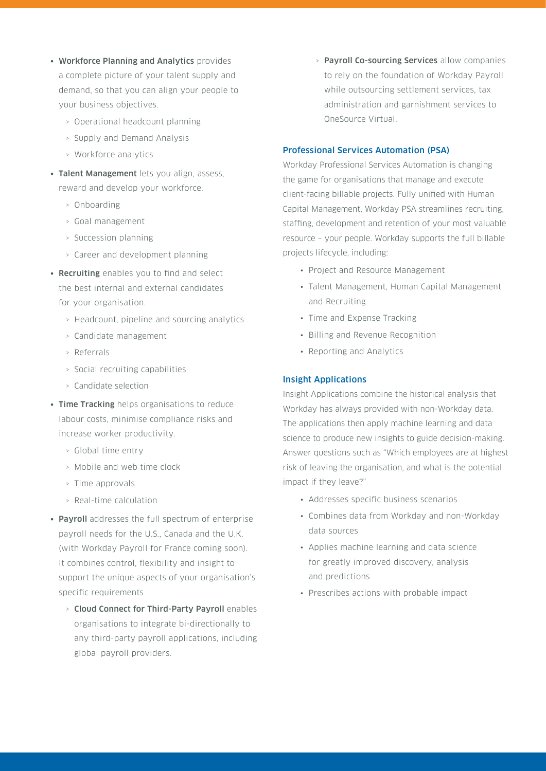- Workforce Planning and Analytics provides a complete picture of your talent supply and demand, so that you can align your people to your business objectives.
	- › Operational headcount planning
	- › Supply and Demand Analysis
	- › Workforce analytics
- Talent Management lets you align, assess, reward and develop your workforce.
	- › Onboarding
	- › Goal management
	- › Succession planning
	- › Career and development planning
- Recruiting enables you to find and select the best internal and external candidates for your organisation.
	- › Headcount, pipeline and sourcing analytics
	- › Candidate management
	- › Referrals
	- › Social recruiting capabilities
	- › Candidate selection
- Time Tracking helps organisations to reduce labour costs, minimise compliance risks and increase worker productivity.
	- › Global time entry
	- › Mobile and web time clock
	- › Time approvals
	- › Real-time calculation
- Payroll addresses the full spectrum of enterprise payroll needs for the U.S., Canada and the U.K. (with Workday Payroll for France coming soon). It combines control, flexibility and insight to support the unique aspects of your organisation's specific requirements
	- › Cloud Connect for Third-Party Payroll enables organisations to integrate bi-directionally to any third-party payroll applications, including global payroll providers.

› Payroll Co-sourcing Services allow companies to rely on the foundation of Workday Payroll while outsourcing settlement services, tax administration and garnishment services to OneSource Virtual.

#### Professional Services Automation (PSA)

Workday Professional Services Automation is changing the game for organisations that manage and execute client-facing billable projects. Fully unified with Human Capital Management, Workday PSA streamlines recruiting, staffing, development and retention of your most valuable resource – your people. Workday supports the full billable projects lifecycle, including:

- Project and Resource Management
- Talent Management, Human Capital Management and Recruiting
- Time and Expense Tracking
- Billing and Revenue Recognition
- Reporting and Analytics

#### Insight Applications

Insight Applications combine the historical analysis that Workday has always provided with non-Workday data. The applications then apply machine learning and data science to produce new insights to guide decision-making. Answer questions such as "Which employees are at highest risk of leaving the organisation, and what is the potential impact if they leave?"

- Addresses specific business scenarios
- Combines data from Workday and non-Workday data sources
- Applies machine learning and data science for greatly improved discovery, analysis and predictions
- Prescribes actions with probable impact